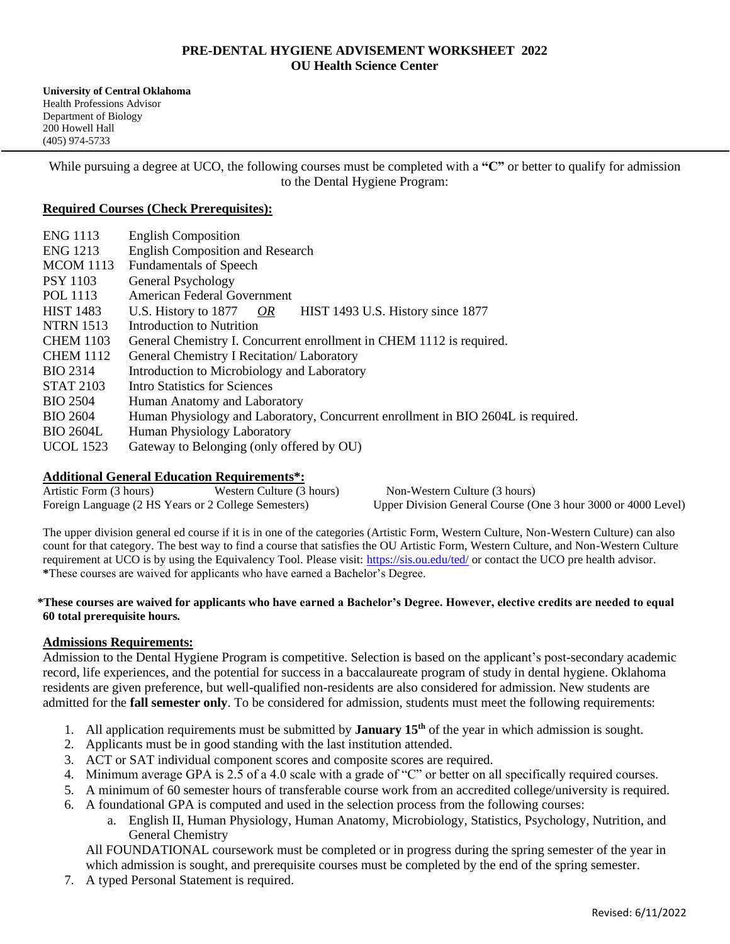# **PRE-DENTAL HYGIENE ADVISEMENT WORKSHEET 2022 OU Health Science Center**

**University of Central Oklahoma** Health Professions Advisor Department of Biology 200 Howell Hall (405) 974-5733

While pursuing a degree at UCO, the following courses must be completed with a "C" or better to qualify for admission to the Dental Hygiene Program:

### **Required Courses (Check Prerequisites):**

| <b>ENG 1113</b>  | <b>English Composition</b>                                                       |
|------------------|----------------------------------------------------------------------------------|
| <b>ENG 1213</b>  | <b>English Composition and Research</b>                                          |
| <b>MCOM 1113</b> | <b>Fundamentals of Speech</b>                                                    |
| <b>PSY 1103</b>  | General Psychology                                                               |
| POL 1113         | American Federal Government                                                      |
| <b>HIST 1483</b> | HIST 1493 U.S. History since 1877<br>U.S. History to $1877$ OR                   |
| <b>NTRN 1513</b> | Introduction to Nutrition                                                        |
| <b>CHEM 1103</b> | General Chemistry I. Concurrent enrollment in CHEM 1112 is required.             |
| <b>CHEM 1112</b> | General Chemistry I Recitation/ Laboratory                                       |
| <b>BIO 2314</b>  | Introduction to Microbiology and Laboratory                                      |
| <b>STAT 2103</b> | Intro Statistics for Sciences                                                    |
| <b>BIO 2504</b>  | Human Anatomy and Laboratory                                                     |
| <b>BIO 2604</b>  | Human Physiology and Laboratory, Concurrent enrollment in BIO 2604L is required. |
| <b>BIO 2604L</b> | Human Physiology Laboratory                                                      |
| <b>UCOL</b> 1523 | Gateway to Belonging (only offered by OU)                                        |

# **Additional General Education Requirements\*:**

Artistic Form (3 hours) Western Culture (3 hours) Non-Western Culture (3 hours) Foreign Language (2 HS Years or 2 College Semesters) Upper Division General Course (One 3 hour 3000 or 4000 Level)

The upper division general ed course if it is in one of the categories (Artistic Form, Western Culture, Non-Western Culture) can also count for that category. The best way to find a course that satisfies the OU Artistic Form, Western Culture, and Non-Western Culture requirement at UCO is by using the Equivalency Tool. Please visit:<https://sis.ou.edu/ted/> or contact the UCO pre health advisor. **\***These courses are waived for applicants who have earned a Bachelor's Degree.

#### **\*These courses are waived for applicants who have earned a Bachelor's Degree. However, elective credits are needed to equal 60 total prerequisite hours***.*

# **Admissions Requirements:**

Admission to the Dental Hygiene Program is competitive. Selection is based on the applicant's post-secondary academic record, life experiences, and the potential for success in a baccalaureate program of study in dental hygiene. Oklahoma residents are given preference, but well-qualified non-residents are also considered for admission. New students are admitted for the **fall semester only**. To be considered for admission, students must meet the following requirements:

- 1. All application requirements must be submitted by **January 15th** of the year in which admission is sought.
- 2. Applicants must be in good standing with the last institution attended.
- 3. ACT or SAT individual component scores and composite scores are required.
- 4. Minimum average GPA is 2.5 of a 4.0 scale with a grade of "C" or better on all specifically required courses.
- 5. A minimum of 60 semester hours of transferable course work from an accredited college/university is required.
- 6. A foundational GPA is computed and used in the selection process from the following courses:
	- a. English II, Human Physiology, Human Anatomy, Microbiology, Statistics, Psychology, Nutrition, and General Chemistry

All FOUNDATIONAL coursework must be completed or in progress during the spring semester of the year in which admission is sought, and prerequisite courses must be completed by the end of the spring semester.

7. A typed Personal Statement is required.